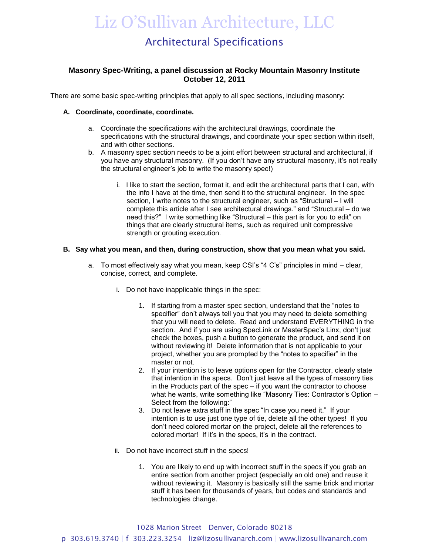## Liz O'Sullivan Architecture, LLC

## Architectural Specifications

## **Masonry Spec-Writing, a panel discussion at Rocky Mountain Masonry Institute October 12, 2011**

There are some basic spec-writing principles that apply to all spec sections, including masonry:

#### **A. Coordinate, coordinate, coordinate.**

- a. Coordinate the specifications with the architectural drawings, coordinate the specifications with the structural drawings, and coordinate your spec section within itself, and with other sections.
- b. A masonry spec section needs to be a joint effort between structural and architectural, if you have any structural masonry. (If you don't have any structural masonry, it's not really the structural engineer's job to write the masonry spec!)
	- i. I like to start the section, format it, and edit the architectural parts that I can, with the info I have at the time, then send it to the structural engineer. In the spec section, I write notes to the structural engineer, such as "Structural – I will complete this article after I see architectural drawings." and "Structural – do we need this?" I write something like "Structural – this part is for you to edit" on things that are clearly structural items, such as required unit compressive strength or grouting execution.

#### **B. Say what you mean, and then, during construction, show that you mean what you said.**

- a. To most effectively say what you mean, keep CSI's "4 C's" principles in mind clear, concise, correct, and complete.
	- i. Do not have inapplicable things in the spec:
		- 1. If starting from a master spec section, understand that the "notes to specifier" don't always tell you that you may need to delete something that you will need to delete. Read and understand EVERYTHING in the section. And if you are using SpecLink or MasterSpec's Linx, don't just check the boxes, push a button to generate the product, and send it on without reviewing it! Delete information that is not applicable to your project, whether you are prompted by the "notes to specifier" in the master or not.
		- 2. If your intention is to leave options open for the Contractor, clearly state that intention in the specs. Don't just leave all the types of masonry ties in the Products part of the spec – if you want the contractor to choose what he wants, write something like "Masonry Ties: Contractor's Option – Select from the following:"
		- 3. Do not leave extra stuff in the spec "In case you need it." If your intention is to use just one type of tie, delete all the other types! If you don't need colored mortar on the project, delete all the references to colored mortar! If it's in the specs, it's in the contract.
	- ii. Do not have incorrect stuff in the specs!
		- 1. You are likely to end up with incorrect stuff in the specs if you grab an entire section from another project (especially an old one) and reuse it without reviewing it. Masonry is basically still the same brick and mortar stuff it has been for thousands of years, but codes and standards and technologies change.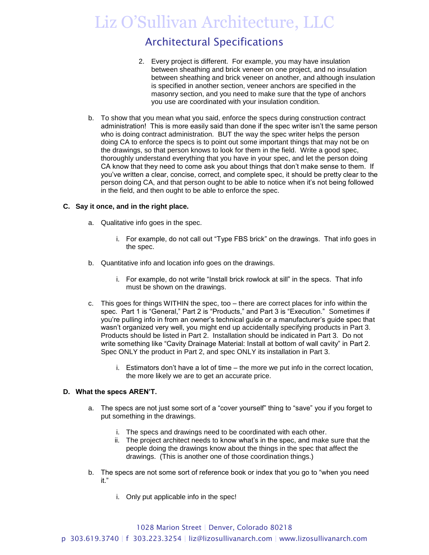## Liz O'Sullivan Architecture, LLC

## Architectural Specifications

- 2. Every project is different. For example, you may have insulation between sheathing and brick veneer on one project, and no insulation between sheathing and brick veneer on another, and although insulation is specified in another section, veneer anchors are specified in the masonry section, and you need to make sure that the type of anchors you use are coordinated with your insulation condition.
- b. To show that you mean what you said, enforce the specs during construction contract administration! This is more easily said than done if the spec writer isn't the same person who is doing contract administration. BUT the way the spec writer helps the person doing CA to enforce the specs is to point out some important things that may not be on the drawings, so that person knows to look for them in the field. Write a good spec, thoroughly understand everything that you have in your spec, and let the person doing CA know that they need to come ask you about things that don't make sense to them. If you've written a clear, concise, correct, and complete spec, it should be pretty clear to the person doing CA, and that person ought to be able to notice when it's not being followed in the field, and then ought to be able to enforce the spec.

### **C. Say it once, and in the right place.**

- a. Qualitative info goes in the spec.
	- i. For example, do not call out "Type FBS brick" on the drawings. That info goes in the spec.
- b. Quantitative info and location info goes on the drawings.
	- i. For example, do not write "Install brick rowlock at sill" in the specs. That info must be shown on the drawings.
- c. This goes for things WITHIN the spec, too there are correct places for info within the spec. Part 1 is "General," Part 2 is "Products," and Part 3 is "Execution." Sometimes if you're pulling info in from an owner's technical guide or a manufacturer's guide spec that wasn't organized very well, you might end up accidentally specifying products in Part 3. Products should be listed in Part 2. Installation should be indicated in Part 3. Do not write something like "Cavity Drainage Material: Install at bottom of wall cavity" in Part 2. Spec ONLY the product in Part 2, and spec ONLY its installation in Part 3.
	- i. Estimators don't have a lot of time the more we put info in the correct location, the more likely we are to get an accurate price.

### **D. What the specs AREN'T.**

- a. The specs are not just some sort of a "cover yourself" thing to "save" you if you forget to put something in the drawings.
	- i. The specs and drawings need to be coordinated with each other.
	- ii. The project architect needs to know what's in the spec, and make sure that the people doing the drawings know about the things in the spec that affect the drawings. (This is another one of those coordination things.)
- b. The specs are not some sort of reference book or index that you go to "when you need it."
	- i. Only put applicable info in the spec!